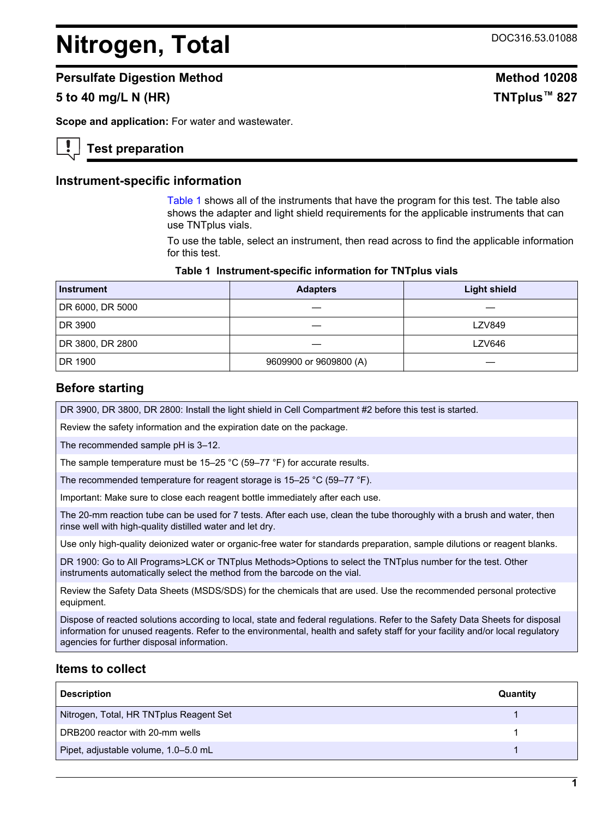# <span id="page-0-0"></span>**Nitrogen, Total** DOC316.53.01088

#### **Persulfate Digestion Method Method 10208**

# **5 to 40 mg/L N (HR) TNTplus™ 827**

**Scope and application:** For water and wastewater.

#### **Test preparation**

#### **Instrument-specific information**

Table 1 shows all of the instruments that have the program for this test. The table also shows the adapter and light shield requirements for the applicable instruments that can use TNTplus vials.

To use the table, select an instrument, then read across to find the applicable information for this test.

#### **Table 1 Instrument-specific information for TNTplus vials**

| <b>Instrument</b> | <b>Adapters</b>        | <b>Light shield</b> |
|-------------------|------------------------|---------------------|
| DR 6000, DR 5000  |                        |                     |
| DR 3900           |                        | <b>LZV849</b>       |
| DR 3800, DR 2800  |                        | <b>LZV646</b>       |
| DR 1900           | 9609900 or 9609800 (A) |                     |

#### **Before starting**

DR 3900, DR 3800, DR 2800: Install the light shield in Cell Compartment #2 before this test is started.

Review the safety information and the expiration date on the package.

The recommended sample pH is 3–12.

The sample temperature must be 15–25 °C (59–77 °F) for accurate results.

The recommended temperature for reagent storage is 15–25 °C (59–77 °F).

Important: Make sure to close each reagent bottle immediately after each use.

The 20-mm reaction tube can be used for 7 tests. After each use, clean the tube thoroughly with a brush and water, then rinse well with high-quality distilled water and let dry.

Use only high-quality deionized water or organic-free water for standards preparation, sample dilutions or reagent blanks.

DR 1900: Go to All Programs>LCK or TNTplus Methods>Options to select the TNTplus number for the test. Other instruments automatically select the method from the barcode on the vial.

Review the Safety Data Sheets (MSDS/SDS) for the chemicals that are used. Use the recommended personal protective equipment.

Dispose of reacted solutions according to local, state and federal regulations. Refer to the Safety Data Sheets for disposal information for unused reagents. Refer to the environmental, health and safety staff for your facility and/or local regulatory agencies for further disposal information.

#### **Items to collect**

| <b>Description</b>                      | Quantity |
|-----------------------------------------|----------|
| Nitrogen, Total, HR TNTplus Reagent Set |          |
| DRB200 reactor with 20-mm wells         |          |
| Pipet, adjustable volume, 1.0-5.0 mL    |          |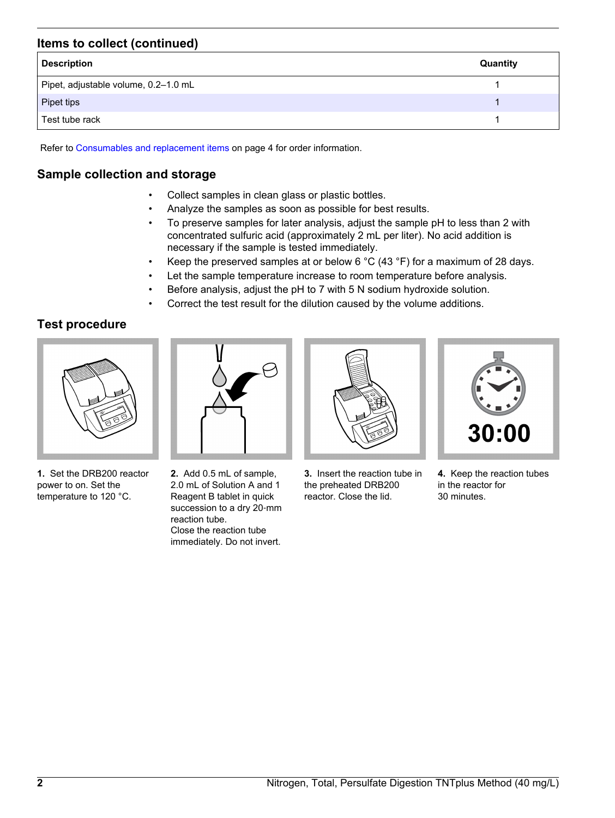# **Items to collect (continued)**

| <b>Description</b>                   | Quantity |
|--------------------------------------|----------|
| Pipet, adjustable volume, 0.2-1.0 mL |          |
| Pipet tips                           |          |
| Test tube rack                       |          |

Refer to [Consumables and replacement items](#page-3-0) on page 4 for order information.

# **Sample collection and storage**

- Collect samples in clean glass or plastic bottles.
- Analyze the samples as soon as possible for best results.
- To preserve samples for later analysis, adjust the sample pH to less than 2 with concentrated sulfuric acid (approximately 2 mL per liter). No acid addition is necessary if the sample is tested immediately.
- Keep the preserved samples at or below 6 °C (43 °F) for a maximum of 28 days.
- Let the sample temperature increase to room temperature before analysis.
- Before analysis, adjust the pH to 7 with 5 N sodium hydroxide solution.
- Correct the test result for the dilution caused by the volume additions.

# **Test procedure**



**1.** Set the DRB200 reactor power to on. Set the temperature to 120 °C.



**2.** Add 0.5 mL of sample, 2.0 mL of Solution A and 1 Reagent B tablet in quick succession to a dry 20-mm reaction tube. Close the reaction tube immediately. Do not invert.



**3.** Insert the reaction tube in the preheated DRB200 reactor. Close the lid.



**4.** Keep the reaction tubes in the reactor for 30 minutes.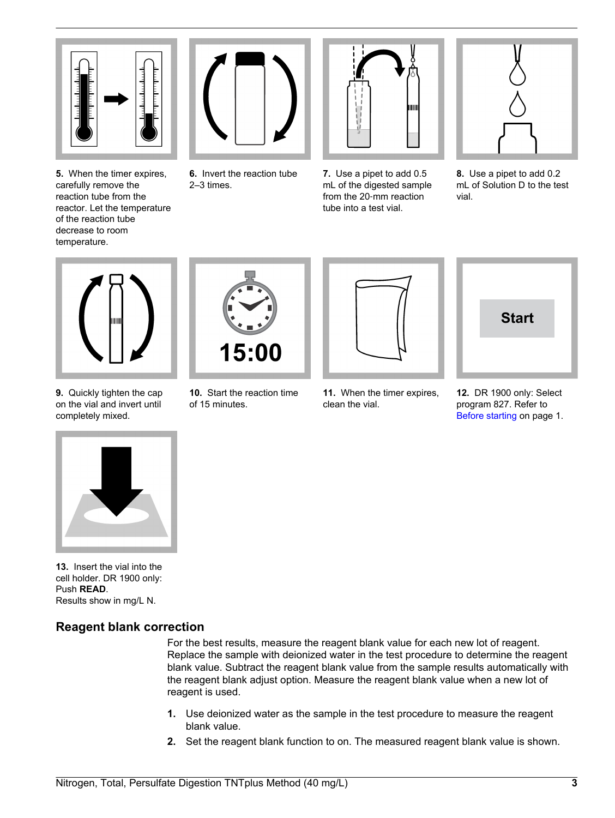

**5.** When the timer expires, carefully remove the reaction tube from the reactor. Let the temperature of the reaction tube decrease to room temperature.



**6.** Invert the reaction tube 2–3 times.



**7.** Use a pipet to add 0.5 mL of the digested sample from the 20‑mm reaction tube into a test vial.



**8.** Use a pipet to add 0.2 mL of Solution D to the test vial.



**9.** Quickly tighten the cap on the vial and invert until completely mixed.



**10.** Start the reaction time of 15 minutes.



**11.** When the timer expires,

clean the vial.



**12.** DR 1900 only: Select program 827. Refer to [Before starting](#page-0-0) on page 1.



**13.** Insert the vial into the cell holder. DR 1900 only: Push **READ**. Results show in mg/L N.

# **Reagent blank correction**

For the best results, measure the reagent blank value for each new lot of reagent. Replace the sample with deionized water in the test procedure to determine the reagent blank value. Subtract the reagent blank value from the sample results automatically with the reagent blank adjust option. Measure the reagent blank value when a new lot of reagent is used.

- **1.** Use deionized water as the sample in the test procedure to measure the reagent blank value.
- **2.** Set the reagent blank function to on. The measured reagent blank value is shown.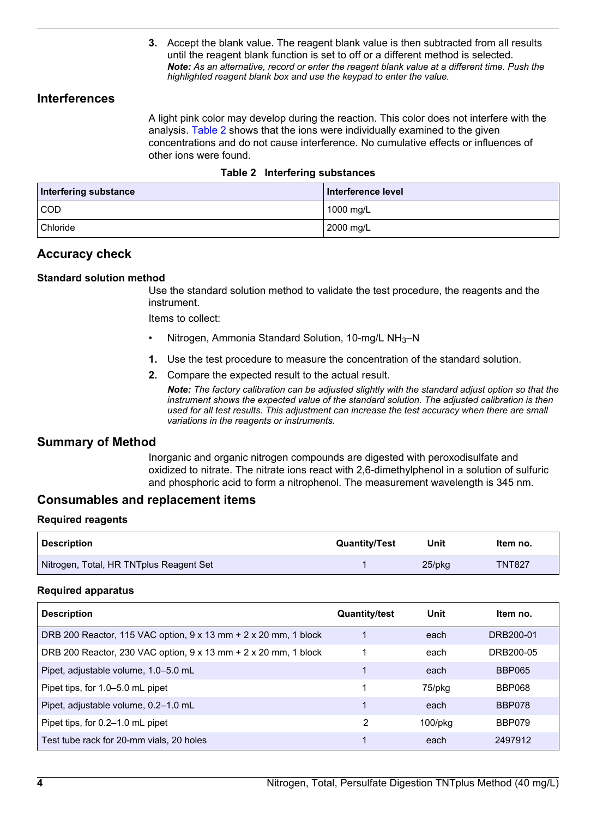**3.** Accept the blank value. The reagent blank value is then subtracted from all results until the reagent blank function is set to off or a different method is selected. *Note: As an alternative, record or enter the reagent blank value at a different time. Push the highlighted reagent blank box and use the keypad to enter the value.*

#### <span id="page-3-0"></span>**Interferences**

A light pink color may develop during the reaction. This color does not interfere with the analysis. Table 2 shows that the ions were individually examined to the given concentrations and do not cause interference. No cumulative effects or influences of other ions were found.

|  |  | Table 2 Interfering substances |
|--|--|--------------------------------|
|--|--|--------------------------------|

| Interfering substance | Interference level |
|-----------------------|--------------------|
| COD                   | 1000 mg/L          |
| <sup>1</sup> Chloride | 2000 mg/L          |

#### **Accuracy check**

#### **Standard solution method**

Use the standard solution method to validate the test procedure, the reagents and the instrument.

Items to collect:

- Nitrogen, Ammonia Standard Solution, 10-mg/L NH3–N
- **1.** Use the test procedure to measure the concentration of the standard solution.
- **2.** Compare the expected result to the actual result.

*Note: The factory calibration can be adjusted slightly with the standard adjust option so that the instrument shows the expected value of the standard solution. The adjusted calibration is then used for all test results. This adjustment can increase the test accuracy when there are small variations in the reagents or instruments.*

#### **Summary of Method**

Inorganic and organic nitrogen compounds are digested with peroxodisulfate and oxidized to nitrate. The nitrate ions react with 2,6-dimethylphenol in a solution of sulfuric and phosphoric acid to form a nitrophenol. The measurement wavelength is 345 nm.

#### **Consumables and replacement items**

#### **Required reagents**

| <b>Description</b>                      | <b>Quantity/Test</b> | Unit   | ltem no.      |
|-----------------------------------------|----------------------|--------|---------------|
| Nitrogen, Total, HR TNTplus Reagent Set |                      | 25/pkg | <b>TNT827</b> |

#### **Required apparatus**

| <b>Description</b>                                              | <b>Quantity/test</b> | Unit          | Item no.      |
|-----------------------------------------------------------------|----------------------|---------------|---------------|
| DRB 200 Reactor, 115 VAC option, 9 x 13 mm + 2 x 20 mm, 1 block |                      | each          | DRB200-01     |
| DRB 200 Reactor, 230 VAC option, 9 x 13 mm + 2 x 20 mm, 1 block |                      | each          | DRB200-05     |
| Pipet, adjustable volume, 1.0–5.0 mL                            |                      | each          | <b>BBP065</b> |
| Pipet tips, for 1.0-5.0 mL pipet                                |                      | 75/pkg        | <b>BBP068</b> |
| Pipet, adjustable volume, 0.2-1.0 mL                            |                      | each          | <b>BBP078</b> |
| Pipet tips, for 0.2–1.0 mL pipet                                | 2                    | $100$ /p $ka$ | BBP079        |
| Test tube rack for 20-mm vials, 20 holes                        |                      | each          | 2497912       |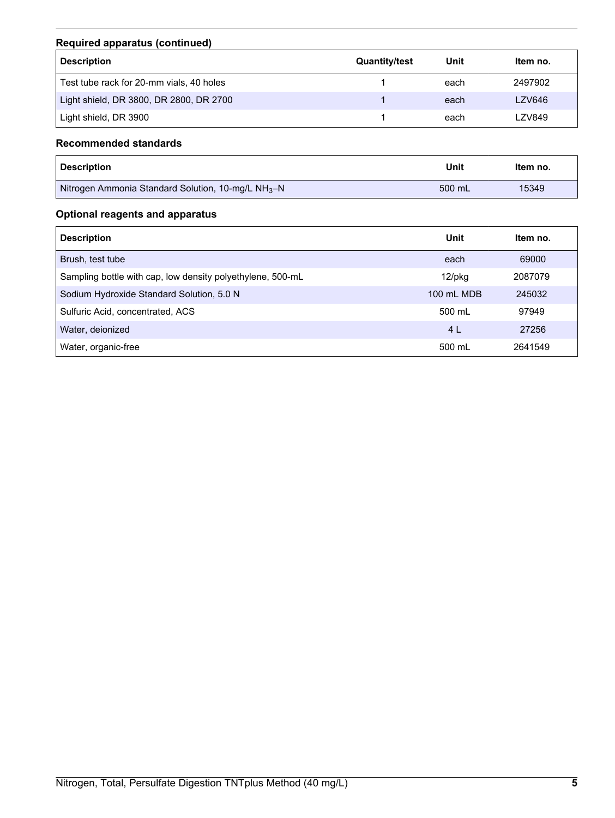# **Required apparatus (continued)**

| <b>Description</b>                       | <b>Quantity/test</b> | Unit | Item no. |
|------------------------------------------|----------------------|------|----------|
| Test tube rack for 20-mm vials, 40 holes |                      | each | 2497902  |
| Light shield, DR 3800, DR 2800, DR 2700  |                      | each | LZV646   |
| Light shield, DR 3900                    |                      | each | LZV849   |

# **Recommended standards**

| <b>Description</b>                                             | Unit   | Item no. |
|----------------------------------------------------------------|--------|----------|
| Nitrogen Ammonia Standard Solution, 10-mg/L NH <sub>3</sub> -N | 500 mL | 15349    |

# **Optional reagents and apparatus**

| <b>Description</b>                                         | Unit       | ltem no. |
|------------------------------------------------------------|------------|----------|
| Brush, test tube                                           | each       | 69000    |
| Sampling bottle with cap, low density polyethylene, 500-mL | $12$ /pkg  | 2087079  |
| Sodium Hydroxide Standard Solution, 5.0 N                  | 100 mL MDB | 245032   |
| Sulfuric Acid, concentrated, ACS                           | 500 mL     | 97949    |
| Water, deionized                                           | 4 L        | 27256    |
| Water, organic-free                                        | 500 mL     | 2641549  |